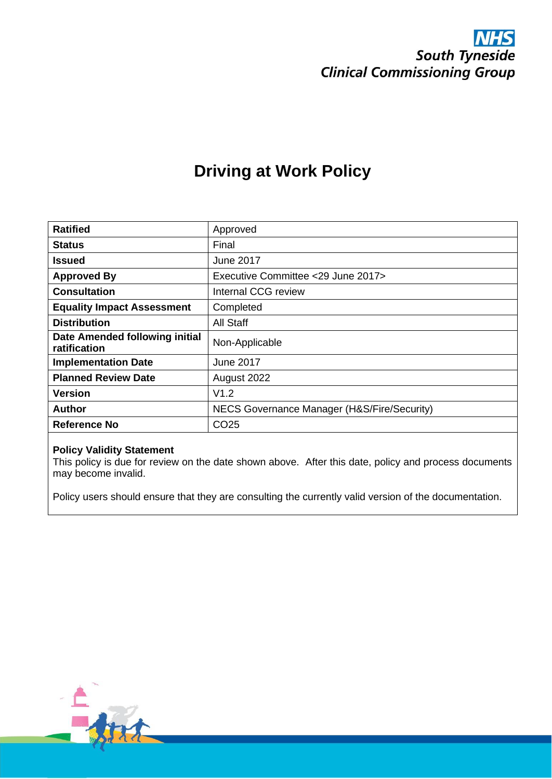

## **Driving at Work Policy**

| <b>Ratified</b>                                | Approved                                    |
|------------------------------------------------|---------------------------------------------|
| <b>Status</b>                                  | Final                                       |
| <b>Issued</b>                                  | <b>June 2017</b>                            |
| <b>Approved By</b>                             | Executive Committee <29 June 2017>          |
| <b>Consultation</b>                            | Internal CCG review                         |
| <b>Equality Impact Assessment</b>              | Completed                                   |
| <b>Distribution</b>                            | All Staff                                   |
| Date Amended following initial<br>ratification | Non-Applicable                              |
| <b>Implementation Date</b>                     | <b>June 2017</b>                            |
| <b>Planned Review Date</b>                     | August 2022                                 |
| <b>Version</b>                                 | V1.2                                        |
| Author                                         | NECS Governance Manager (H&S/Fire/Security) |
| Reference No                                   | CO <sub>25</sub>                            |

#### **Policy Validity Statement**

This policy is due for review on the date shown above. After this date, policy and process documents may become invalid.

Policy users should ensure that they are consulting the currently valid version of the documentation.

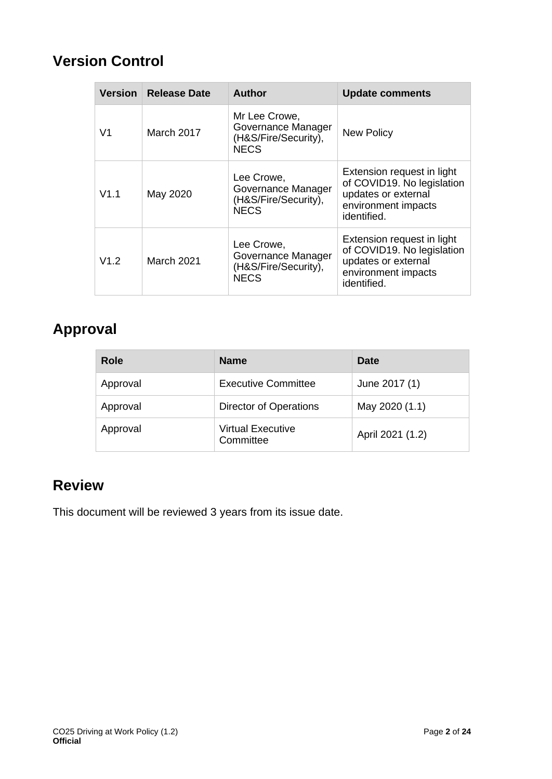## **Version Control**

| <b>Version</b> | <b>Release Date</b> | <b>Author</b>                                                              | <b>Update comments</b>                                                                                                |
|----------------|---------------------|----------------------------------------------------------------------------|-----------------------------------------------------------------------------------------------------------------------|
| V1             | March 2017          | Mr Lee Crowe,<br>Governance Manager<br>(H&S/Fire/Security),<br><b>NECS</b> | <b>New Policy</b>                                                                                                     |
| V1.1           | May 2020            | Lee Crowe,<br>Governance Manager<br>(H&S/Fire/Security),<br><b>NECS</b>    | Extension request in light<br>of COVID19. No legislation<br>updates or external<br>environment impacts<br>identified. |
| V1.2           | March 2021          | Lee Crowe,<br>Governance Manager<br>(H&S/Fire/Security),<br><b>NECS</b>    | Extension request in light<br>of COVID19. No legislation<br>updates or external<br>environment impacts<br>identified. |

## **Approval**

| Role     | <b>Name</b>                    | Date             |
|----------|--------------------------------|------------------|
| Approval | <b>Executive Committee</b>     | June 2017 (1)    |
| Approval | Director of Operations         | May 2020 (1.1)   |
| Approval | Virtual Executive<br>Committee | April 2021 (1.2) |

## **Review**

This document will be reviewed 3 years from its issue date.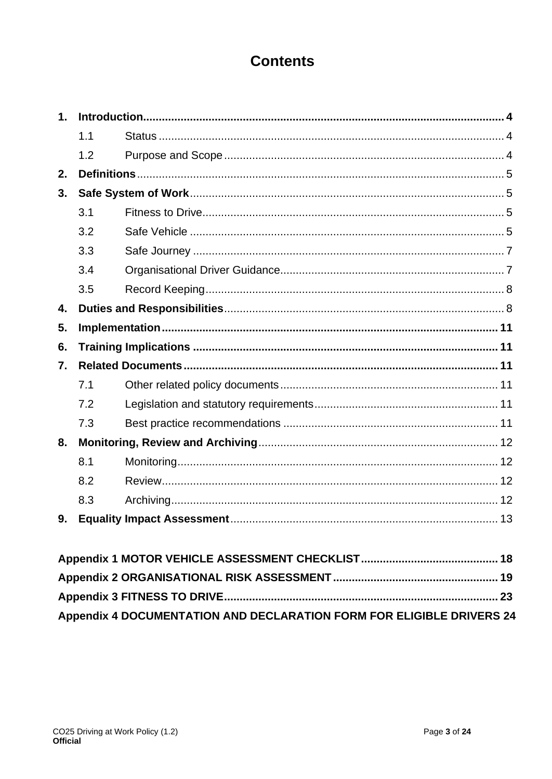## **Contents**

| 1.               |     |  |
|------------------|-----|--|
|                  | 1.1 |  |
|                  | 1.2 |  |
| 2.               |     |  |
| 3.               |     |  |
|                  | 3.1 |  |
|                  | 3.2 |  |
|                  | 3.3 |  |
|                  | 3.4 |  |
|                  | 3.5 |  |
| 4.               |     |  |
| 5.               |     |  |
| 6.               |     |  |
| $\overline{7}$ . |     |  |
|                  | 7.1 |  |
|                  | 7.2 |  |
|                  | 7.3 |  |
| 8.               |     |  |
|                  | 8.1 |  |
|                  | 8.2 |  |
|                  | 8.3 |  |
| 9.               |     |  |

| Appendix 4 DOCUMENTATION AND DECLARATION FORM FOR ELIGIBLE DRIVERS 24 |  |
|-----------------------------------------------------------------------|--|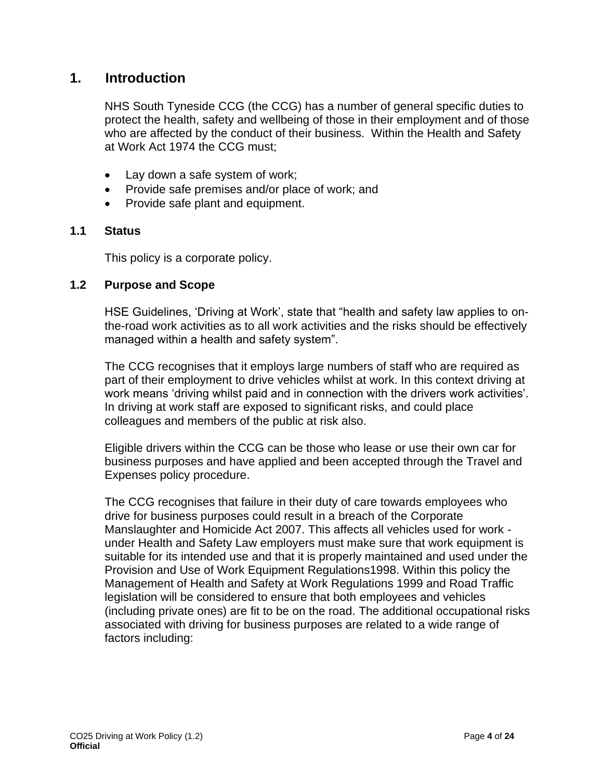#### **1. Introduction**

<span id="page-3-0"></span>NHS South Tyneside CCG (the CCG) has a number of general specific duties to protect the health, safety and wellbeing of those in their employment and of those who are affected by the conduct of their business. Within the Health and Safety at Work Act 1974 the CCG must;

- Lay down a safe system of work;
- Provide safe premises and/or place of work; and
- Provide safe plant and equipment.

#### **1.1 Status**

This policy is a corporate policy.

#### **1.2 Purpose and Scope**

HSE Guidelines, 'Driving at Work', state that "health and safety law applies to onthe-road work activities as to all work activities and the risks should be effectively managed within a health and safety system".

The CCG recognises that it employs large numbers of staff who are required as part of their employment to drive vehicles whilst at work. In this context driving at work means 'driving whilst paid and in connection with the drivers work activities'. In driving at work staff are exposed to significant risks, and could place colleagues and members of the public at risk also.

Eligible drivers within the CCG can be those who lease or use their own car for business purposes and have applied and been accepted through the Travel and Expenses policy procedure.

The CCG recognises that failure in their duty of care towards employees who drive for business purposes could result in a breach of the Corporate Manslaughter and Homicide Act 2007. This affects all vehicles used for work under Health and Safety Law employers must make sure that work equipment is suitable for its intended use and that it is properly maintained and used under the Provision and Use of Work Equipment Regulations1998. Within this policy the Management of Health and Safety at Work Regulations 1999 and Road Traffic legislation will be considered to ensure that both employees and vehicles (including private ones) are fit to be on the road. The additional occupational risks associated with driving for business purposes are related to a wide range of factors including: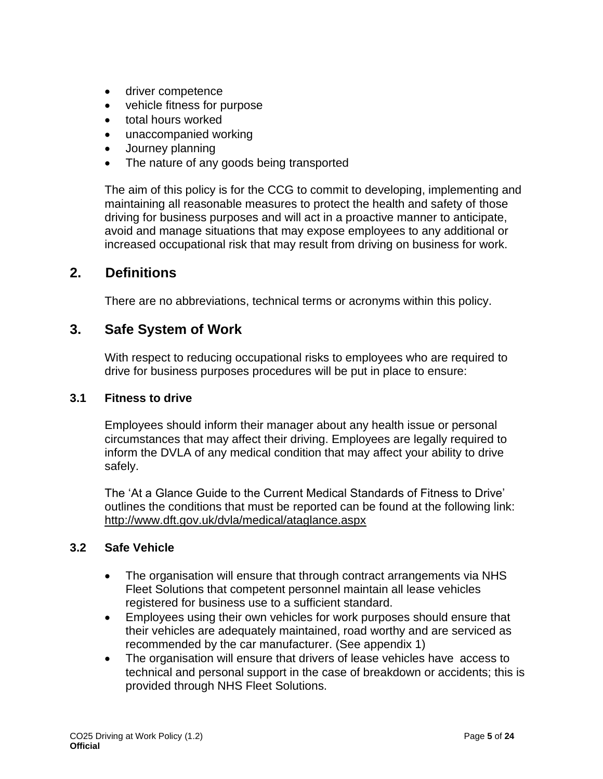- driver competence
- vehicle fitness for purpose
- total hours worked
- unaccompanied working
- Journey planning
- The nature of any goods being transported

The aim of this policy is for the CCG to commit to developing, implementing and maintaining all reasonable measures to protect the health and safety of those driving for business purposes and will act in a proactive manner to anticipate, avoid and manage situations that may expose employees to any additional or increased occupational risk that may result from driving on business for work.

#### **2. Definitions**

There are no abbreviations, technical terms or acronyms within this policy.

#### <span id="page-4-0"></span>**3. Safe System of Work**

With respect to reducing occupational risks to employees who are required to drive for business purposes procedures will be put in place to ensure:

#### <span id="page-4-1"></span>**3.1 Fitness to drive**

Employees should inform their manager about any health issue or personal circumstances that may affect their driving. Employees are legally required to inform the DVLA of any medical condition that may affect your ability to drive safely.

The 'At a Glance Guide to the Current Medical Standards of Fitness to Drive' outlines the conditions that must be reported can be found at the following link: [http://www.dft.gov.uk/dvla/medical/ataglance.aspx](http://www.oxforddictionaries.com/definition/english/%20http:/www.oxforddictionaries.com/definition/english/helper) 

#### **3.2 Safe Vehicle**

- The organisation will ensure that through contract arrangements via NHS Fleet Solutions that competent personnel maintain all lease vehicles registered for business use to a sufficient standard.
- Employees using their own vehicles for work purposes should ensure that their vehicles are adequately maintained, road worthy and are serviced as recommended by the car manufacturer. (See appendix 1)
- The organisation will ensure that drivers of lease vehicles have access to technical and personal support in the case of breakdown or accidents; this is provided through NHS Fleet Solutions.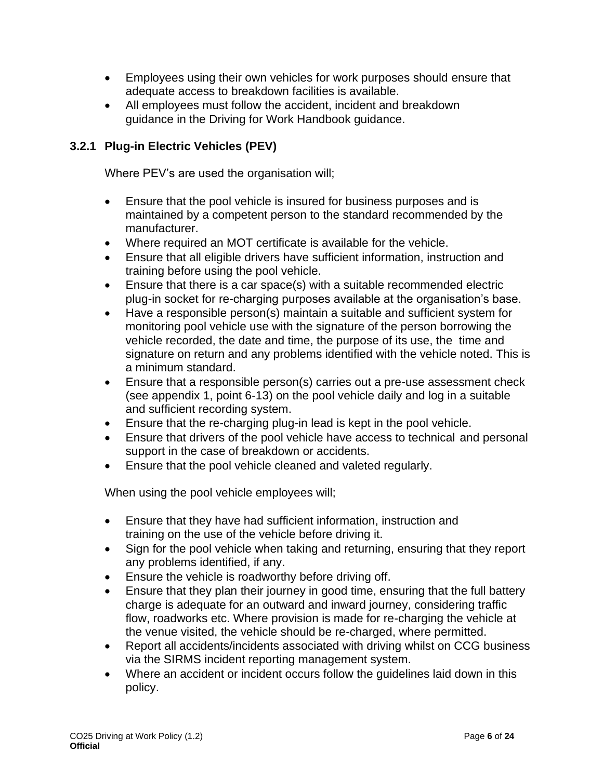- Employees using their own vehicles for work purposes should ensure that adequate access to breakdown facilities is available.
- All employees must follow the accident, incident and breakdown guidance in the Driving for Work Handbook guidance.

#### **3.2.1 Plug-in Electric Vehicles (PEV)**

Where PEV's are used the organisation will;

- Ensure that the pool vehicle is insured for business purposes and is maintained by a competent person to the standard recommended by the manufacturer.
- Where required an MOT certificate is available for the vehicle.
- Ensure that all eligible drivers have sufficient information, instruction and training before using the pool vehicle.
- Ensure that there is a car space(s) with a suitable recommended electric plug-in socket for re-charging purposes available at the organisation's base.
- Have a responsible person(s) maintain a suitable and sufficient system for monitoring pool vehicle use with the signature of the person borrowing the vehicle recorded, the date and time, the purpose of its use, the time and signature on return and any problems identified with the vehicle noted. This is a minimum standard.
- Ensure that a responsible person(s) carries out a pre-use assessment check (see appendix 1, point 6-13) on the pool vehicle daily and log in a suitable and sufficient recording system.
- Ensure that the re-charging plug-in lead is kept in the pool vehicle.
- Ensure that drivers of the pool vehicle have access to technical and personal support in the case of breakdown or accidents.
- Ensure that the pool vehicle cleaned and valeted regularly.

When using the pool vehicle employees will;

- Ensure that they have had sufficient information, instruction and training on the use of the vehicle before driving it.
- Sign for the pool vehicle when taking and returning, ensuring that they report any problems identified, if any.
- Ensure the vehicle is roadworthy before driving off.
- Ensure that they plan their journey in good time, ensuring that the full battery charge is adequate for an outward and inward journey, considering traffic flow, roadworks etc. Where provision is made for re-charging the vehicle at the venue visited, the vehicle should be re-charged, where permitted.
- Report all accidents/incidents associated with driving whilst on CCG business via the SIRMS incident reporting management system.
- Where an accident or incident occurs follow the guidelines laid down in this policy.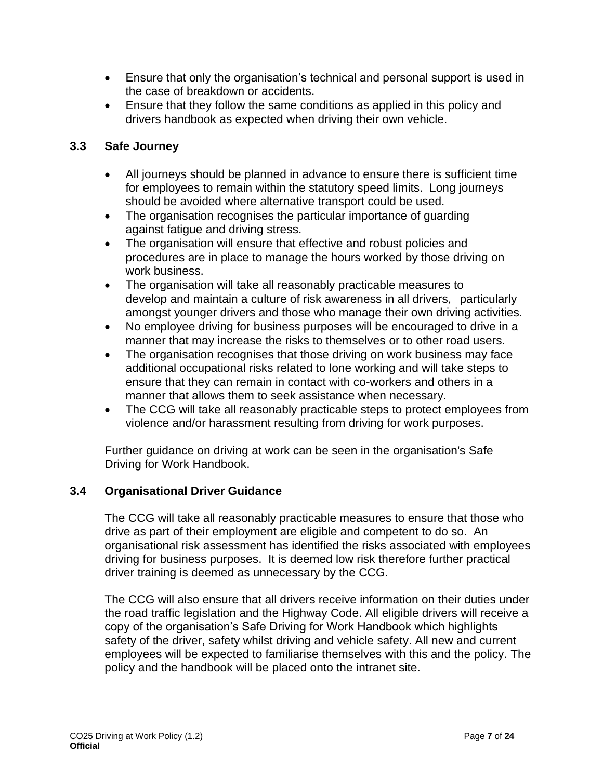- Ensure that only the organisation's technical and personal support is used in the case of breakdown or accidents.
- Ensure that they follow the same conditions as applied in this policy and drivers handbook as expected when driving their own vehicle.

#### **3.3 Safe Journey**

- All journeys should be planned in advance to ensure there is sufficient time for employees to remain within the statutory speed limits. Long journeys should be avoided where alternative transport could be used.
- The organisation recognises the particular importance of guarding against fatigue and driving stress.
- The organisation will ensure that effective and robust policies and procedures are in place to manage the hours worked by those driving on work business.
- The organisation will take all reasonably practicable measures to develop and maintain a culture of risk awareness in all drivers, particularly amongst younger drivers and those who manage their own driving activities.
- No employee driving for business purposes will be encouraged to drive in a manner that may increase the risks to themselves or to other road users.
- The organisation recognises that those driving on work business may face additional occupational risks related to lone working and will take steps to ensure that they can remain in contact with co-workers and others in a manner that allows them to seek assistance when necessary.
- The CCG will take all reasonably practicable steps to protect employees from violence and/or harassment resulting from driving for work purposes.

Further guidance on driving at work can be seen in the organisation's Safe Driving for Work Handbook.

#### **3.4 Organisational Driver Guidance**

<span id="page-6-0"></span>The CCG will take all reasonably practicable measures to ensure that those who drive as part of their employment are eligible and competent to do so. An organisational risk assessment has identified the risks associated with employees driving for business purposes. It is deemed low risk therefore further practical driver training is deemed as unnecessary by the CCG.

<span id="page-6-1"></span>The CCG will also ensure that all drivers receive information on their duties under the road traffic legislation and the Highway Code. All eligible drivers will receive a copy of the organisation's Safe Driving for Work Handbook which highlights safety of the driver, safety whilst driving and vehicle safety. All new and current employees will be expected to familiarise themselves with this and the policy. The policy and the handbook will be placed onto the intranet site.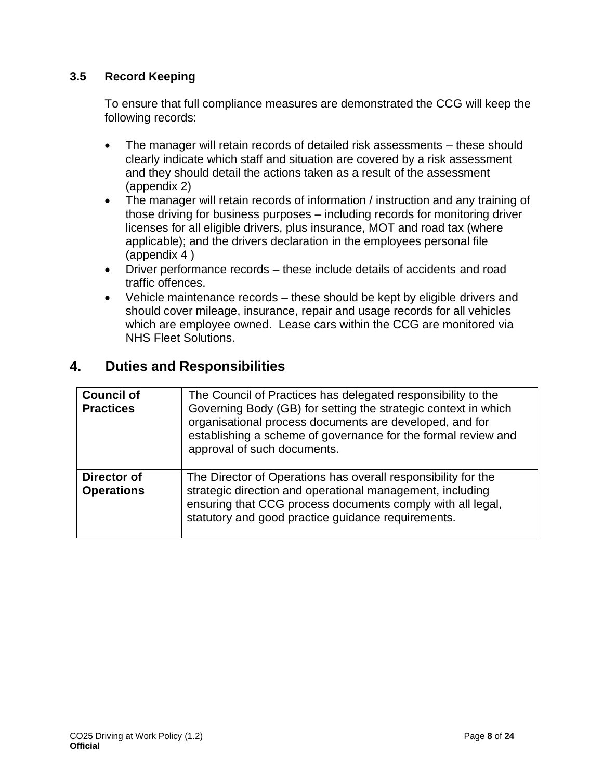#### **3.5 Record Keeping**

To ensure that full compliance measures are demonstrated the CCG will keep the following records:

- The manager will retain records of detailed risk assessments these should clearly indicate which staff and situation are covered by a risk assessment and they should detail the actions taken as a result of the assessment (appendix 2)
- The manager will retain records of information / instruction and any training of those driving for business purposes – including records for monitoring driver licenses for all eligible drivers, plus insurance, MOT and road tax (where applicable); and the drivers declaration in the employees personal file (appendix 4 )
- Driver performance records these include details of accidents and road traffic offences.
- Vehicle maintenance records these should be kept by eligible drivers and should cover mileage, insurance, repair and usage records for all vehicles which are employee owned. Lease cars within the CCG are monitored via NHS Fleet Solutions.

#### **4. Duties and Responsibilities**

| <b>Council of</b><br><b>Practices</b> | The Council of Practices has delegated responsibility to the<br>Governing Body (GB) for setting the strategic context in which<br>organisational process documents are developed, and for<br>establishing a scheme of governance for the formal review and<br>approval of such documents. |
|---------------------------------------|-------------------------------------------------------------------------------------------------------------------------------------------------------------------------------------------------------------------------------------------------------------------------------------------|
| Director of<br><b>Operations</b>      | The Director of Operations has overall responsibility for the<br>strategic direction and operational management, including<br>ensuring that CCG process documents comply with all legal,<br>statutory and good practice guidance requirements.                                            |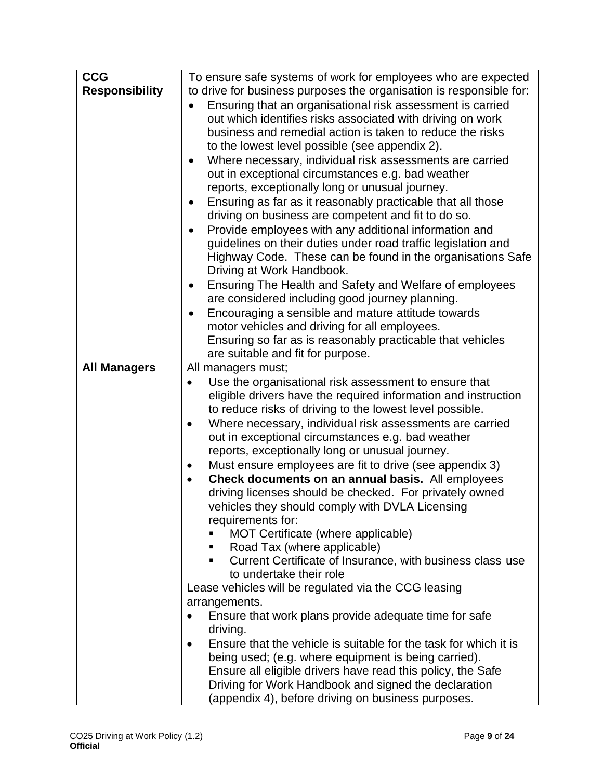| <b>CCG</b>            | To ensure safe systems of work for employees who are expected         |
|-----------------------|-----------------------------------------------------------------------|
| <b>Responsibility</b> | to drive for business purposes the organisation is responsible for:   |
|                       | Ensuring that an organisational risk assessment is carried            |
|                       |                                                                       |
|                       | out which identifies risks associated with driving on work            |
|                       | business and remedial action is taken to reduce the risks             |
|                       | to the lowest level possible (see appendix 2).                        |
|                       | Where necessary, individual risk assessments are carried<br>$\bullet$ |
|                       | out in exceptional circumstances e.g. bad weather                     |
|                       | reports, exceptionally long or unusual journey.                       |
|                       | Ensuring as far as it reasonably practicable that all those<br>٠      |
|                       | driving on business are competent and fit to do so.                   |
|                       | Provide employees with any additional information and<br>$\bullet$    |
|                       | guidelines on their duties under road traffic legislation and         |
|                       | Highway Code. These can be found in the organisations Safe            |
|                       | Driving at Work Handbook.                                             |
|                       | Ensuring The Health and Safety and Welfare of employees               |
|                       | are considered including good journey planning.                       |
|                       | Encouraging a sensible and mature attitude towards                    |
|                       | motor vehicles and driving for all employees.                         |
|                       | Ensuring so far as is reasonably practicable that vehicles            |
|                       | are suitable and fit for purpose.                                     |
| <b>All Managers</b>   | All managers must;                                                    |
|                       |                                                                       |
|                       | Use the organisational risk assessment to ensure that                 |
|                       | eligible drivers have the required information and instruction        |
|                       | to reduce risks of driving to the lowest level possible.              |
|                       | Where necessary, individual risk assessments are carried              |
|                       | out in exceptional circumstances e.g. bad weather                     |
|                       | reports, exceptionally long or unusual journey.                       |
|                       | Must ensure employees are fit to drive (see appendix 3)               |
|                       | Check documents on an annual basis. All employees<br>$\bullet$        |
|                       | driving licenses should be checked. For privately owned               |
|                       | vehicles they should comply with DVLA Licensing                       |
|                       | requirements for:                                                     |
|                       | MOT Certificate (where applicable)                                    |
|                       | Road Tax (where applicable)<br>Е                                      |
|                       | Current Certificate of Insurance, with business class use<br>п        |
|                       | to undertake their role                                               |
|                       | Lease vehicles will be regulated via the CCG leasing                  |
|                       | arrangements.                                                         |
|                       | Ensure that work plans provide adequate time for safe<br>$\bullet$    |
|                       | driving.                                                              |
|                       | Ensure that the vehicle is suitable for the task for which it is      |
|                       | being used; (e.g. where equipment is being carried).                  |
|                       | Ensure all eligible drivers have read this policy, the Safe           |
|                       | Driving for Work Handbook and signed the declaration                  |
|                       | (appendix 4), before driving on business purposes.                    |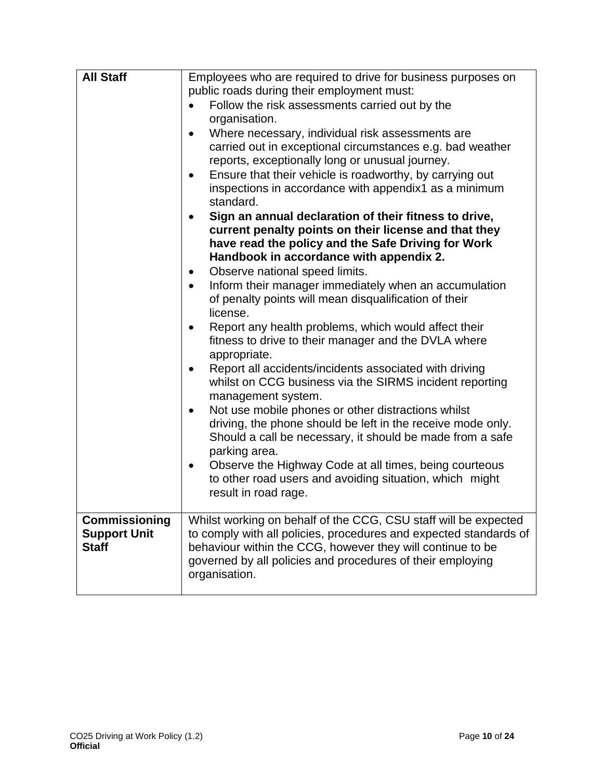| <b>All Staff</b>                     | Employees who are required to drive for business purposes on<br>public roads during their employment must:<br>Follow the risk assessments carried out by the<br>organisation.<br>Where necessary, individual risk assessments are<br>carried out in exceptional circumstances e.g. bad weather<br>reports, exceptionally long or unusual journey.<br>Ensure that their vehicle is roadworthy, by carrying out<br>$\bullet$<br>inspections in accordance with appendix1 as a minimum<br>standard.<br>Sign an annual declaration of their fitness to drive,<br>current penalty points on their license and that they<br>have read the policy and the Safe Driving for Work<br>Handbook in accordance with appendix 2.<br>Observe national speed limits.<br>$\bullet$<br>Inform their manager immediately when an accumulation<br>$\bullet$<br>of penalty points will mean disqualification of their<br>license.<br>Report any health problems, which would affect their<br>$\bullet$<br>fitness to drive to their manager and the DVLA where<br>appropriate.<br>Report all accidents/incidents associated with driving<br>$\bullet$<br>whilst on CCG business via the SIRMS incident reporting<br>management system.<br>Not use mobile phones or other distractions whilst<br>$\bullet$<br>driving, the phone should be left in the receive mode only.<br>Should a call be necessary, it should be made from a safe<br>parking area.<br>Observe the Highway Code at all times, being courteous<br>$\bullet$<br>to other road users and avoiding situation, which might<br>result in road rage. |
|--------------------------------------|----------------------------------------------------------------------------------------------------------------------------------------------------------------------------------------------------------------------------------------------------------------------------------------------------------------------------------------------------------------------------------------------------------------------------------------------------------------------------------------------------------------------------------------------------------------------------------------------------------------------------------------------------------------------------------------------------------------------------------------------------------------------------------------------------------------------------------------------------------------------------------------------------------------------------------------------------------------------------------------------------------------------------------------------------------------------------------------------------------------------------------------------------------------------------------------------------------------------------------------------------------------------------------------------------------------------------------------------------------------------------------------------------------------------------------------------------------------------------------------------------------------------------------------------------------------------------------------------|
| Commissioning<br><b>Support Unit</b> | Whilst working on behalf of the CCG, CSU staff will be expected<br>to comply with all policies, procedures and expected standards of                                                                                                                                                                                                                                                                                                                                                                                                                                                                                                                                                                                                                                                                                                                                                                                                                                                                                                                                                                                                                                                                                                                                                                                                                                                                                                                                                                                                                                                         |
| <b>Staff</b>                         | behaviour within the CCG, however they will continue to be<br>governed by all policies and procedures of their employing<br>organisation.                                                                                                                                                                                                                                                                                                                                                                                                                                                                                                                                                                                                                                                                                                                                                                                                                                                                                                                                                                                                                                                                                                                                                                                                                                                                                                                                                                                                                                                    |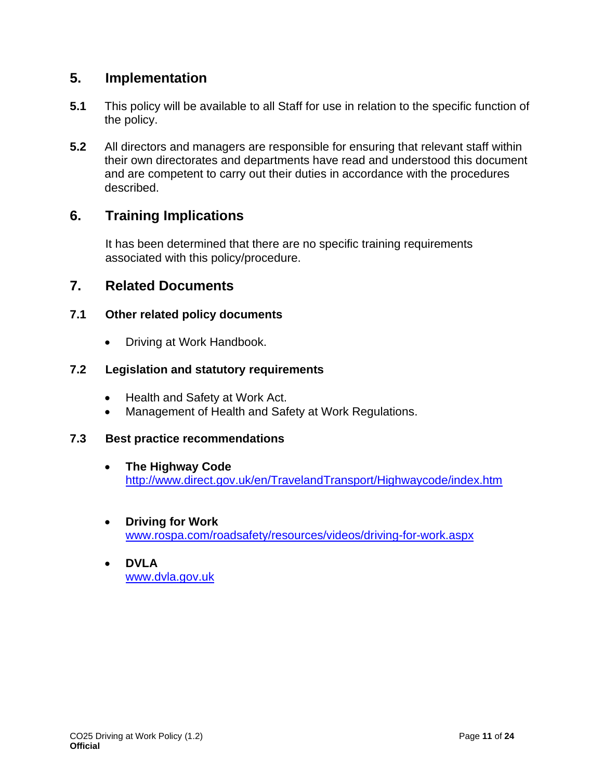#### **5. Implementation**

- **5.1** This policy will be available to all Staff for use in relation to the specific function of the policy.
- **5.2** All directors and managers are responsible for ensuring that relevant staff within their own directorates and departments have read and understood this document and are competent to carry out their duties in accordance with the procedures described.

#### **6. Training Implications**

It has been determined that there are no specific training requirements associated with this policy/procedure.

#### **7. Related Documents**

#### **7.1 Other related policy documents**

• Driving at Work Handbook.

#### **7.2 Legislation and statutory requirements**

- Health and Safety at Work Act.
- Management of Health and Safety at Work Regulations.

#### **7.3 Best practice recommendations**

- **The Highway Code** <http://www.direct.gov.uk/en/TravelandTransport/Highwaycode/index.htm>
- **Driving for Work** [www.rospa.com/roadsafety/resources/videos/driving-for-work.aspx](file://///ntpcts60/shared_info/CSUs/NECS/GOV/INF/NECS%20Policies%20and%20Procedures%20(inc%20Process%20Maps)/Policy%20Review%202015-16/CCG/CCG%20-%20South%20Tees/Awaiting%20CCG%20Inital%20Comment/New%20H&S%20Policies/www.rospa.com/roadsafety/resources/videos/driving-for-work.aspx)
- **DVLA** [www.dvla.gov.uk](http://www.dvla.gov.uk/)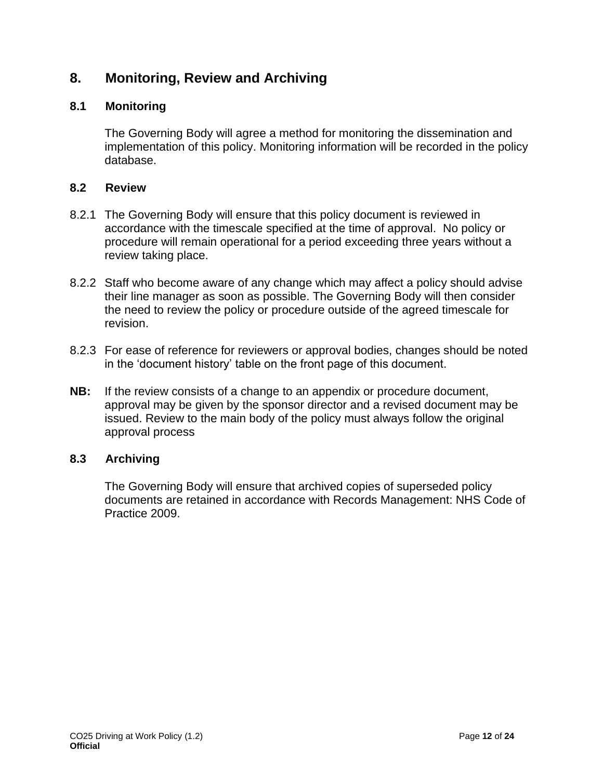### **8. Monitoring, Review and Archiving**

#### **8.1 Monitoring**

The Governing Body will agree a method for monitoring the dissemination and implementation of this policy. Monitoring information will be recorded in the policy database.

#### **8.2 Review**

- 8.2.1 The Governing Body will ensure that this policy document is reviewed in accordance with the timescale specified at the time of approval. No policy or procedure will remain operational for a period exceeding three years without a review taking place.
- 8.2.2 Staff who become aware of any change which may affect a policy should advise their line manager as soon as possible. The Governing Body will then consider the need to review the policy or procedure outside of the agreed timescale for revision.
- 8.2.3 For ease of reference for reviewers or approval bodies, changes should be noted in the 'document history' table on the front page of this document.
- **NB:** If the review consists of a change to an appendix or procedure document, approval may be given by the sponsor director and a revised document may be issued. Review to the main body of the policy must always follow the original approval process

#### **8.3 Archiving**

The Governing Body will ensure that archived copies of superseded policy documents are retained in accordance with Records Management: NHS Code of Practice 2009.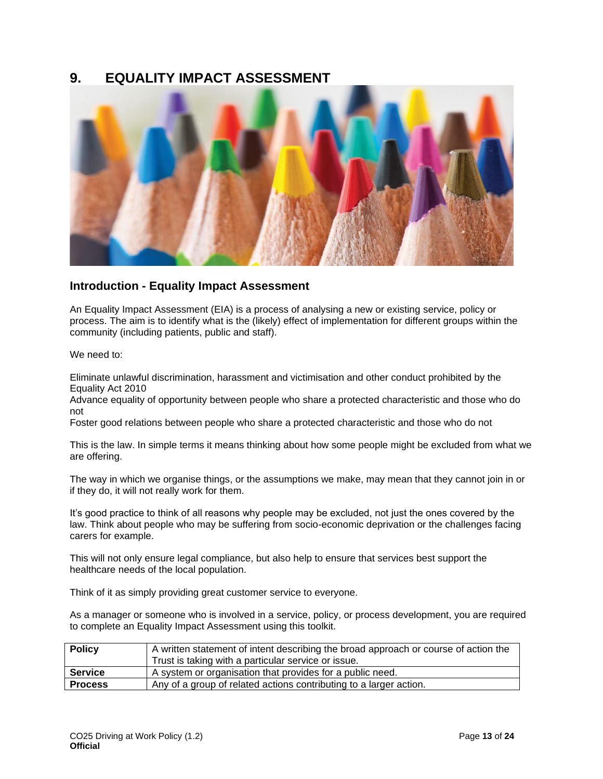#### **9. EQUALITY IMPACT ASSESSMENT**



#### **Introduction - Equality Impact Assessment**

An Equality Impact Assessment (EIA) is a process of analysing a new or existing service, policy or process. The aim is to identify what is the (likely) effect of implementation for different groups within the community (including patients, public and staff).

We need to:

Eliminate unlawful discrimination, harassment and victimisation and other conduct prohibited by the Equality Act 2010

Advance equality of opportunity between people who share a protected characteristic and those who do not

Foster good relations between people who share a protected characteristic and those who do not

This is the law. In simple terms it means thinking about how some people might be excluded from what we are offering.

The way in which we organise things, or the assumptions we make, may mean that they cannot join in or if they do, it will not really work for them.

It's good practice to think of all reasons why people may be excluded, not just the ones covered by the law. Think about people who may be suffering from socio-economic deprivation or the challenges facing carers for example.

This will not only ensure legal compliance, but also help to ensure that services best support the healthcare needs of the local population.

Think of it as simply providing great customer service to everyone.

As a manager or someone who is involved in a service, policy, or process development, you are required to complete an Equality Impact Assessment using this toolkit.

| <b>Policy</b>  | A written statement of intent describing the broad approach or course of action the<br>Trust is taking with a particular service or issue. |
|----------------|--------------------------------------------------------------------------------------------------------------------------------------------|
| <b>Service</b> | A system or organisation that provides for a public need.                                                                                  |
| <b>Process</b> | Any of a group of related actions contributing to a larger action.                                                                         |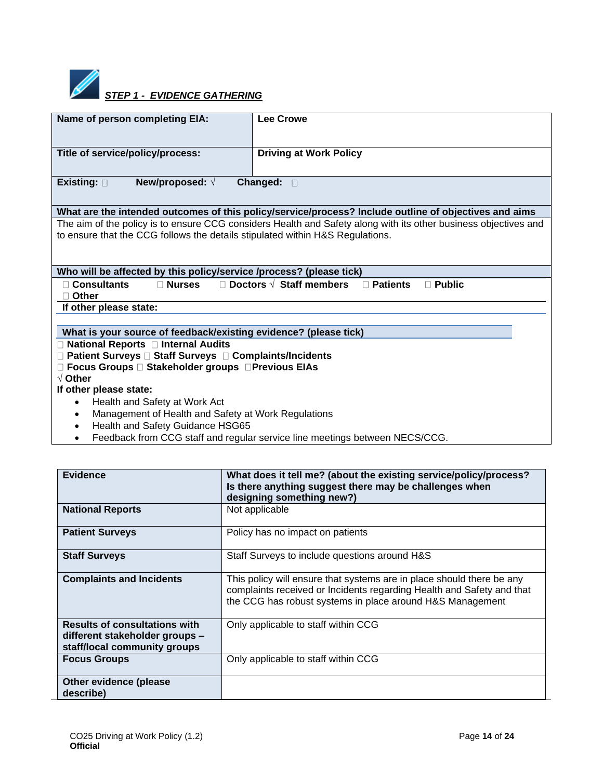

# **STEP 1 - EVIDENCE GATHERING**

| Name of person completing EIA:                                                | <b>Lee Crowe</b>                                                                                                |  |
|-------------------------------------------------------------------------------|-----------------------------------------------------------------------------------------------------------------|--|
|                                                                               |                                                                                                                 |  |
| Title of service/policy/process:                                              | <b>Driving at Work Policy</b>                                                                                   |  |
|                                                                               |                                                                                                                 |  |
| New/proposed: $\sqrt{ }$<br>Existing: $\square$                               | Changed:<br>$\Box$                                                                                              |  |
|                                                                               |                                                                                                                 |  |
|                                                                               | What are the intended outcomes of this policy/service/process? Include outline of objectives and aims           |  |
|                                                                               | The aim of the policy is to ensure CCG considers Health and Safety along with its other business objectives and |  |
| to ensure that the CCG follows the details stipulated within H&S Regulations. |                                                                                                                 |  |
|                                                                               |                                                                                                                 |  |
|                                                                               |                                                                                                                 |  |
| Who will be affected by this policy/service /process? (please tick)           |                                                                                                                 |  |
| $\Box$ Consultants<br>$\Box$ Nurses                                           | $\Box$ Doctors $\sqrt{ }$ Staff members<br><b>Patients</b><br>$\Box$ Public                                     |  |
| $\Box$ Other                                                                  |                                                                                                                 |  |
| If other please state:                                                        |                                                                                                                 |  |
|                                                                               |                                                                                                                 |  |
| What is your source of feedback/existing evidence? (please tick)              |                                                                                                                 |  |
| □ National Reports □ Internal Audits                                          |                                                                                                                 |  |
| □ Patient Surveys □ Staff Surveys □ Complaints/Incidents                      |                                                                                                                 |  |
| □ Focus Groups □ Stakeholder groups □ Previous EIAs                           |                                                                                                                 |  |
| $\sqrt{}$ Other                                                               |                                                                                                                 |  |
| If other please state:                                                        |                                                                                                                 |  |
| Health and Safety at Work Act<br>$\bullet$                                    |                                                                                                                 |  |
| Management of Health and Safety at Work Regulations                           |                                                                                                                 |  |
| Health and Safety Guidance HSG65<br>$\bullet$                                 |                                                                                                                 |  |
| Feedback from CCG staff and regular service line meetings between NECS/CCG.   |                                                                                                                 |  |

| Evidence                                                                                               | What does it tell me? (about the existing service/policy/process?<br>Is there anything suggest there may be challenges when<br>designing something new?)                                                    |
|--------------------------------------------------------------------------------------------------------|-------------------------------------------------------------------------------------------------------------------------------------------------------------------------------------------------------------|
| <b>National Reports</b>                                                                                | Not applicable                                                                                                                                                                                              |
| <b>Patient Surveys</b>                                                                                 | Policy has no impact on patients                                                                                                                                                                            |
| <b>Staff Surveys</b>                                                                                   | Staff Surveys to include questions around H&S                                                                                                                                                               |
| <b>Complaints and Incidents</b>                                                                        | This policy will ensure that systems are in place should there be any<br>complaints received or Incidents regarding Health and Safety and that<br>the CCG has robust systems in place around H&S Management |
| <b>Results of consultations with</b><br>different stakeholder groups -<br>staff/local community groups | Only applicable to staff within CCG                                                                                                                                                                         |
| <b>Focus Groups</b>                                                                                    | Only applicable to staff within CCG                                                                                                                                                                         |
| Other evidence (please<br>describe)                                                                    |                                                                                                                                                                                                             |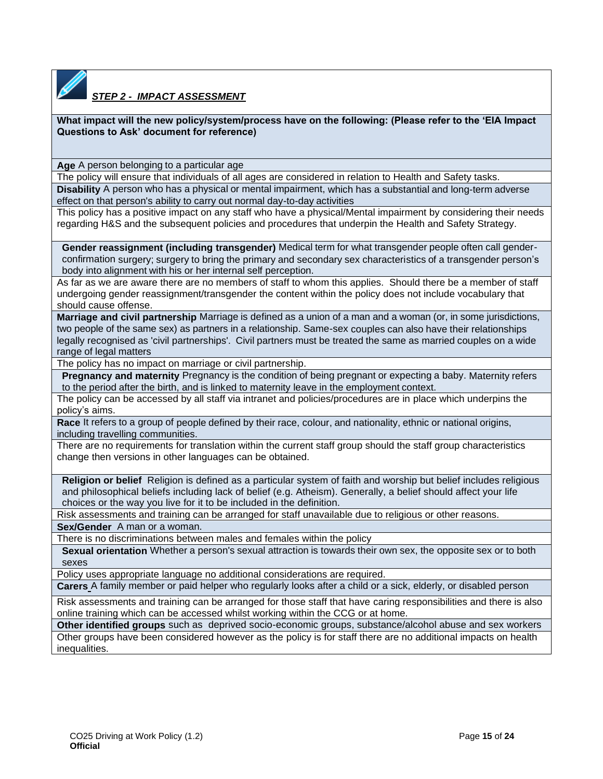

#### *STEP 2 - IMPACT ASSESSMENT*

**What impact will the new policy/system/process have on the following: (Please refer to the 'EIA Impact Questions to Ask' document for reference)**

**Age** A person belonging to a particular age

The policy will ensure that individuals of all ages are considered in relation to Health and Safety tasks. **Disability** A person who has a physical or mental impairment, which has a substantial and long-term adverse

effect on that person's ability to carry out normal day-to-day activities

This policy has a positive impact on any staff who have a physical/Mental impairment by considering their needs regarding H&S and the subsequent policies and procedures that underpin the Health and Safety Strategy.

**Gender reassignment (including transgender)** Medical term for what transgender people often call genderconfirmation surgery; surgery to bring the primary and secondary sex characteristics of a transgender person's body into alignment with his or her internal self perception.

As far as we are aware there are no members of staff to whom this applies. Should there be a member of staff undergoing gender reassignment/transgender the content within the policy does not include vocabulary that should cause offense.

**Marriage and civil partnership** Marriage is defined as a union of a man and a woman (or, in some jurisdictions, two people of the same sex) as partners in a relationship. Same-sex couples can also have their relationships legally recognised as 'civil partnerships'. Civil partners must be treated the same as married couples on a wide range of legal matters

The policy has no impact on marriage or civil partnership.

**Pregnancy and maternity** Pregnancy is the condition of being pregnant or expecting a baby. Maternity refers to the period after the birth, and is linked to maternity leave in the employment context.

The policy can be accessed by all staff via intranet and policies/procedures are in place which underpins the policy's aims.

**Race** It refers to a group of people defined by their race, colour, and nationality, ethnic or national origins, including travelling communities.

There are no requirements for translation within the current staff group should the staff group characteristics change then versions in other languages can be obtained.

**Religion or belief** Religion is defined as a particular system of faith and worship but belief includes religious and philosophical beliefs including lack of belief (e.g. Atheism). Generally, a belief should affect your life choices or the way you live for it to be included in the definition.

Risk assessments and training can be arranged for staff unavailable due to religious or other reasons.

**Sex/Gender** A man or a woman.

There is no discriminations between males and females within the policy

**Sexual orientation** Whether a person's sexual attraction is towards their own sex, the opposite sex or to both sexes

Policy uses appropriate language no additional considerations are required.

**Carers** A family member or paid [helper](http://www.dft.gov.uk/dvla/medical/ataglance.aspx#helper__2) who regularly looks after a child or a [sick,](http://www.oxforddictionaries.com/definition/english/%20http:/www.oxforddictionaries.com/definition/english/disabled#sick__2) [elderly,](http://www.oxforddictionaries.com/definition/english/%20http:/www.oxforddictionaries.com/definition/english/elderly#elderly__2) or [disabled](http://www.oxforddictionaries.com/definition/english/%20http:/www.oxforddictionaries.com/definition/english/sick#disabled__2) person

Risk assessments and training can be arranged for those staff that have caring responsibilities and there is also online training which can be accessed whilst working within the CCG or at home.

**Other identified groups** such as deprived socio-economic groups, substance/alcohol abuse and sex workers Other groups have been considered however as the policy is for staff there are no additional impacts on health inequalities.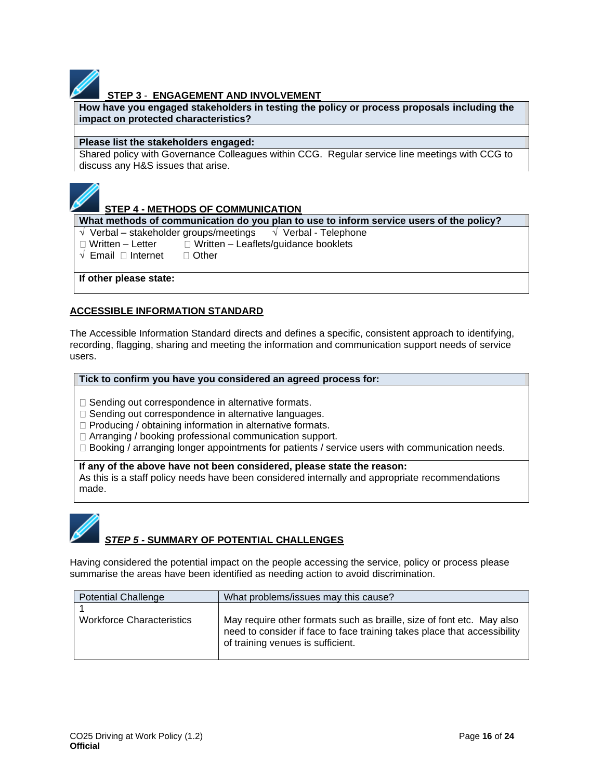#### **STEP 3** - **ENGAGEMENT AND INVOLVEMENT**

**How have you engaged stakeholders in testing the policy or process proposals including the impact on protected characteristics?**

#### **Please list the stakeholders engaged:**

Shared policy with Governance Colleagues within CCG. Regular service line meetings with CCG to discuss any H&S issues that arise.



#### **STEP 4 - METHODS OF COMMUNICATION**

**What methods of communication do you plan to use to inform service users of the policy?**

 $\sqrt{\ }$  Verbal – stakeholder groups/meetings  $\sqrt{\ }$  Verbal - Telephone

 $\Box$  Written – Letter  $\Box$  Written – Leaflets/guidance booklets

 $\sqrt{\phantom{a}}$  Email  $\Box$  Internet  $\Box$  Other

**If other please state:**

#### **ACCESSIBLE INFORMATION STANDARD**

The Accessible Information Standard directs and defines a specific, consistent approach to identifying, recording, flagging, sharing and meeting the information and communication support needs of service users.

#### **Tick to confirm you have you considered an agreed process for:**

 $\Box$  Sending out correspondence in alternative formats.

- $\square$  Sending out correspondence in alternative languages.
- $\Box$  Producing / obtaining information in alternative formats.
- □ Arranging / booking professional communication support.
- $\Box$  Booking / arranging longer appointments for patients / service users with communication needs.

#### **If any of the above have not been considered, please state the reason:**

As this is a staff policy needs have been considered internally and appropriate recommendations made.



#### *STEP 5 -* **SUMMARY OF POTENTIAL CHALLENGES**

Having considered the potential impact on the people accessing the service, policy or process please summarise the areas have been identified as needing action to avoid discrimination.

| <b>Potential Challenge</b>       | What problems/issues may this cause?                                                                                                                                                   |
|----------------------------------|----------------------------------------------------------------------------------------------------------------------------------------------------------------------------------------|
| <b>Workforce Characteristics</b> | May require other formats such as braille, size of font etc. May also<br>need to consider if face to face training takes place that accessibility<br>of training venues is sufficient. |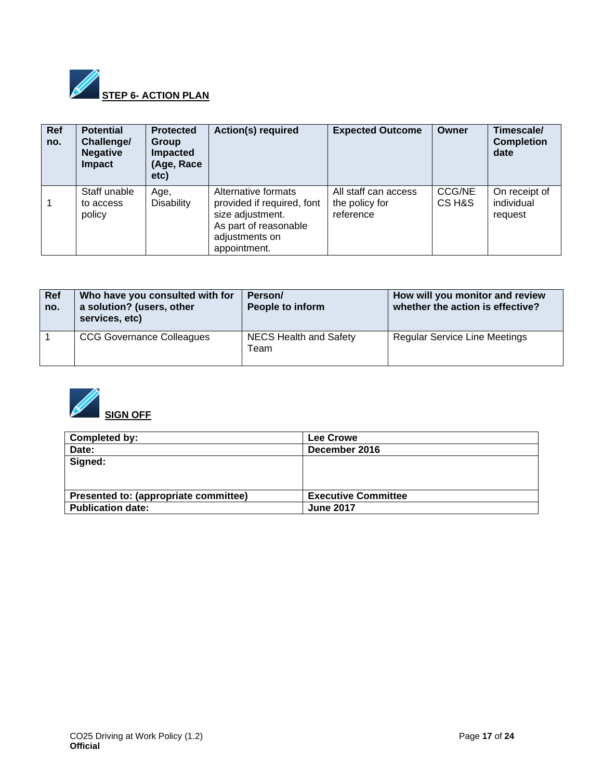

| Ref<br>no. | <b>Potential</b><br>Challenge/<br><b>Negative</b><br><b>Impact</b> | <b>Protected</b><br><b>Group</b><br><b>Impacted</b><br>(Age, Race<br>etc) | <b>Action(s) required</b>                                                                                                        | <b>Expected Outcome</b>                             | Owner                   | Timescale/<br><b>Completion</b><br>date |
|------------|--------------------------------------------------------------------|---------------------------------------------------------------------------|----------------------------------------------------------------------------------------------------------------------------------|-----------------------------------------------------|-------------------------|-----------------------------------------|
|            | Staff unable<br>to access<br>policy                                | Age,<br><b>Disability</b>                                                 | Alternative formats<br>provided if required, font<br>size adjustment.<br>As part of reasonable<br>adjustments on<br>appointment. | All staff can access<br>the policy for<br>reference | <b>CCG/NE</b><br>CS H&S | On receipt of<br>individual<br>request  |

| <b>Ref</b><br>no. | Who have you consulted with for<br>a solution? (users, other<br>services, etc) | Person/<br>People to inform           | How will you monitor and review<br>whether the action is effective? |
|-------------------|--------------------------------------------------------------------------------|---------------------------------------|---------------------------------------------------------------------|
|                   | <b>CCG Governance Colleagues</b>                                               | <b>NECS Health and Safety</b><br>Team | <b>Regular Service Line Meetings</b>                                |



| Completed by:                         | Lee Crowe                  |
|---------------------------------------|----------------------------|
| Date:                                 | December 2016              |
| Signed:                               |                            |
|                                       |                            |
|                                       |                            |
| Presented to: (appropriate committee) | <b>Executive Committee</b> |
| <b>Publication date:</b>              | <b>June 2017</b>           |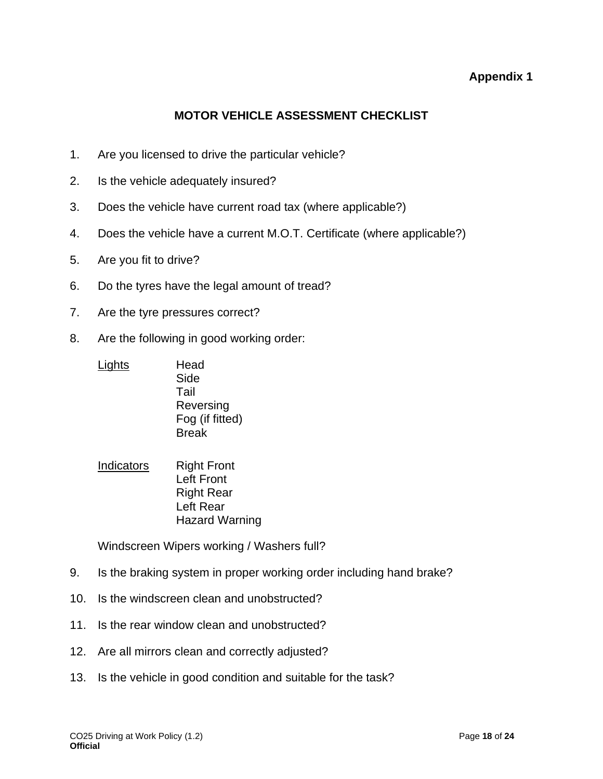#### **Appendix 1**

#### **MOTOR VEHICLE ASSESSMENT CHECKLIST**

- <span id="page-17-1"></span><span id="page-17-0"></span>1. Are you licensed to drive the particular vehicle?
- 2. Is the vehicle adequately insured?
- 3. Does the vehicle have current road tax (where applicable?)
- 4. Does the vehicle have a current M.O.T. Certificate (where applicable?)
- 5. Are you fit to drive?
- 6. Do the tyres have the legal amount of tread?
- 7. Are the tyre pressures correct?
- 8. Are the following in good working order:
	- Lights Head Side Tail Reversing Fog (if fitted) Break
	- Indicators Right Front Left Front Right Rear Left Rear Hazard Warning

Windscreen Wipers working / Washers full?

- 9. Is the braking system in proper working order including hand brake?
- 10. Is the windscreen clean and unobstructed?
- 11. Is the rear window clean and unobstructed?
- 12. Are all mirrors clean and correctly adjusted?
- 13. Is the vehicle in good condition and suitable for the task?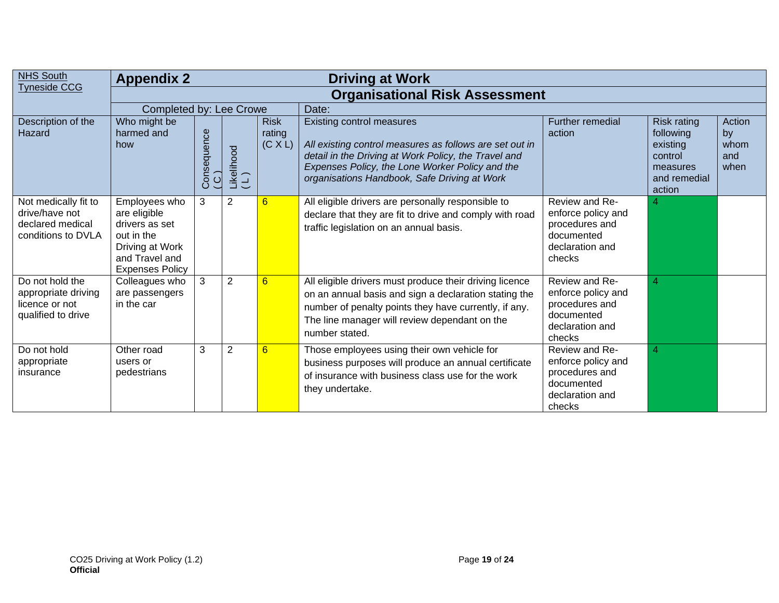| <b>NHS South</b>                                                                 | <b>Appendix 2</b><br><b>Driving at Work</b>                                                                                  |                               |                   |                                  |                                                                                                                                                                                                                                                        |                                                                                                   |                                                                                       |                                     |  |  |  |  |
|----------------------------------------------------------------------------------|------------------------------------------------------------------------------------------------------------------------------|-------------------------------|-------------------|----------------------------------|--------------------------------------------------------------------------------------------------------------------------------------------------------------------------------------------------------------------------------------------------------|---------------------------------------------------------------------------------------------------|---------------------------------------------------------------------------------------|-------------------------------------|--|--|--|--|
| <b>Tyneside CCG</b>                                                              | <b>Organisational Risk Assessment</b>                                                                                        |                               |                   |                                  |                                                                                                                                                                                                                                                        |                                                                                                   |                                                                                       |                                     |  |  |  |  |
|                                                                                  | Completed by: Lee Crowe                                                                                                      |                               |                   |                                  | Date:                                                                                                                                                                                                                                                  |                                                                                                   |                                                                                       |                                     |  |  |  |  |
| Description of the<br>Hazard                                                     | Who might be<br>harmed and<br>how                                                                                            | Consequence<br>$\overline{C}$ | Likelihood<br>(L) | <b>Risk</b><br>rating<br>(C X L) | <b>Existing control measures</b><br>All existing control measures as follows are set out in<br>detail in the Driving at Work Policy, the Travel and<br>Expenses Policy, the Lone Worker Policy and the<br>organisations Handbook, Safe Driving at Work | Further remedial<br>action                                                                        | Risk rating<br>following<br>existing<br>control<br>measures<br>and remedial<br>action | Action<br>by<br>whom<br>and<br>when |  |  |  |  |
| Not medically fit to<br>drive/have not<br>declared medical<br>conditions to DVLA | Employees who<br>are eligible<br>drivers as set<br>out in the<br>Driving at Work<br>and Travel and<br><b>Expenses Policy</b> | 3                             | $\overline{2}$    | 6                                | All eligible drivers are personally responsible to<br>declare that they are fit to drive and comply with road<br>traffic legislation on an annual basis.                                                                                               | Review and Re-<br>enforce policy and<br>procedures and<br>documented<br>declaration and<br>checks |                                                                                       |                                     |  |  |  |  |
| Do not hold the<br>appropriate driving<br>licence or not<br>qualified to drive   | Colleagues who<br>are passengers<br>in the car                                                                               | 3                             | $\overline{2}$    | 6                                | All eligible drivers must produce their driving licence<br>on an annual basis and sign a declaration stating the<br>number of penalty points they have currently, if any.<br>The line manager will review dependant on the<br>number stated.           | Review and Re-<br>enforce policy and<br>procedures and<br>documented<br>declaration and<br>checks | 4                                                                                     |                                     |  |  |  |  |
| Do not hold<br>appropriate<br>insurance                                          | Other road<br>users or<br>pedestrians                                                                                        | 3                             | $\overline{2}$    | 6                                | Those employees using their own vehicle for<br>business purposes will produce an annual certificate<br>of insurance with business class use for the work<br>they undertake.                                                                            | Review and Re-<br>enforce policy and<br>procedures and<br>documented<br>declaration and<br>checks | 4                                                                                     |                                     |  |  |  |  |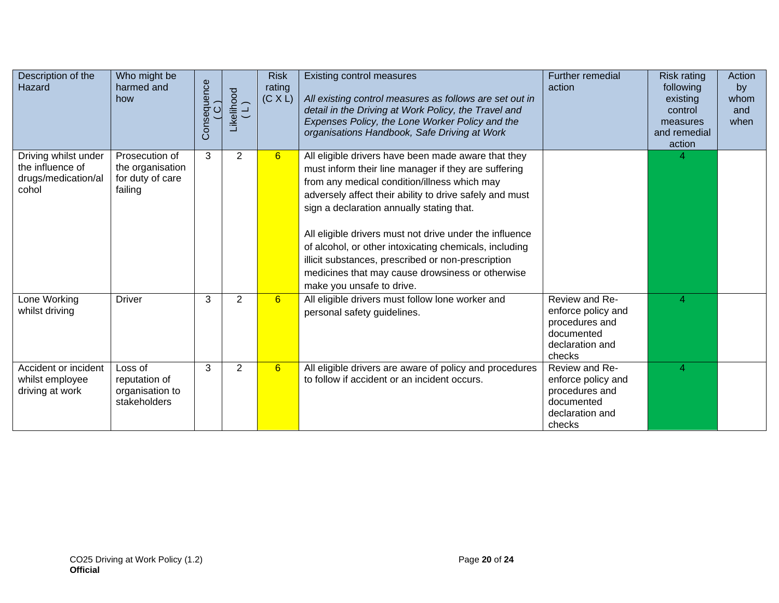| Description of the<br>Hazard                                             | Who might be<br>harmed and<br>how                                 | Consequence<br>(C) | Likelihood<br>(L) | <b>Risk</b><br>rating<br>(C X L) | Existing control measures<br>All existing control measures as follows are set out in<br>detail in the Driving at Work Policy, the Travel and<br>Expenses Policy, the Lone Worker Policy and the<br>organisations Handbook, Safe Driving at Work                                                                                                                                                                                                                                                                                 | Further remedial<br>action                                                                        | Risk rating<br>following<br>existing<br>control<br>measures<br>and remedial<br>action | Action<br>by<br>whom<br>and<br>when |
|--------------------------------------------------------------------------|-------------------------------------------------------------------|--------------------|-------------------|----------------------------------|---------------------------------------------------------------------------------------------------------------------------------------------------------------------------------------------------------------------------------------------------------------------------------------------------------------------------------------------------------------------------------------------------------------------------------------------------------------------------------------------------------------------------------|---------------------------------------------------------------------------------------------------|---------------------------------------------------------------------------------------|-------------------------------------|
| Driving whilst under<br>the influence of<br>drugs/medication/al<br>cohol | Prosecution of<br>the organisation<br>for duty of care<br>failing | 3                  | $\overline{2}$    | 6                                | All eligible drivers have been made aware that they<br>must inform their line manager if they are suffering<br>from any medical condition/illness which may<br>adversely affect their ability to drive safely and must<br>sign a declaration annually stating that.<br>All eligible drivers must not drive under the influence<br>of alcohol, or other intoxicating chemicals, including<br>illicit substances, prescribed or non-prescription<br>medicines that may cause drowsiness or otherwise<br>make you unsafe to drive. |                                                                                                   |                                                                                       |                                     |
| Lone Working<br>whilst driving                                           | <b>Driver</b>                                                     | 3                  | $\overline{2}$    | 6                                | All eligible drivers must follow lone worker and<br>personal safety guidelines.                                                                                                                                                                                                                                                                                                                                                                                                                                                 | Review and Re-<br>enforce policy and<br>procedures and<br>documented<br>declaration and<br>checks | $\overline{4}$                                                                        |                                     |
| Accident or incident<br>whilst employee<br>driving at work               | Loss of<br>reputation of<br>organisation to<br>stakeholders       | 3                  | 2                 | 6                                | All eligible drivers are aware of policy and procedures<br>to follow if accident or an incident occurs.                                                                                                                                                                                                                                                                                                                                                                                                                         | Review and Re-<br>enforce policy and<br>procedures and<br>documented<br>declaration and<br>checks | 4                                                                                     |                                     |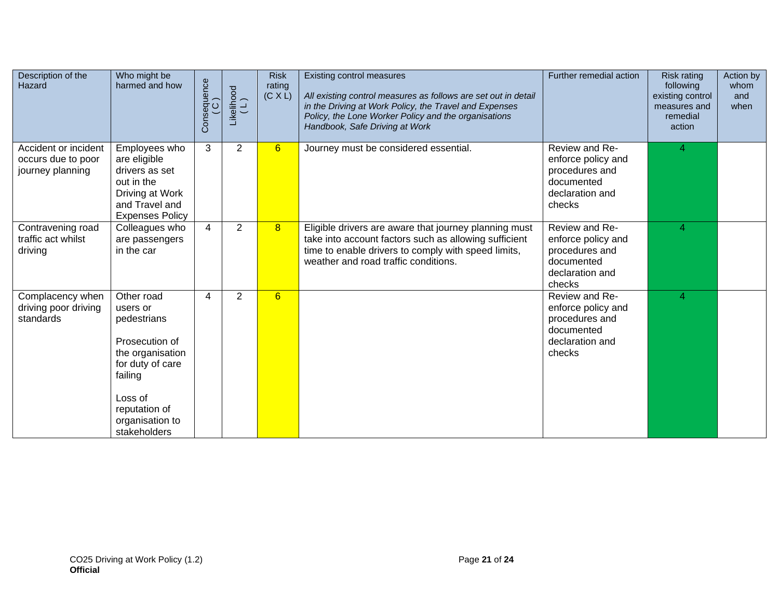| Description of the<br>Hazard                                   | Who might be<br>harmed and how                                                                                                                                            | Consequence<br>(C) | $\begin{array}{c} \text{Likelihood} \\ (\mathsf{L}) \end{array}$ | <b>Risk</b><br>rating<br>(C X L) | Existing control measures<br>All existing control measures as follows are set out in detail<br>in the Driving at Work Policy, the Travel and Expenses<br>Policy, the Lone Worker Policy and the organisations<br>Handbook, Safe Driving at Work | Further remedial action                                                                           | <b>Risk rating</b><br>following<br>existing control<br>measures and<br>remedial<br>action | Action by<br>whom<br>and<br>when |
|----------------------------------------------------------------|---------------------------------------------------------------------------------------------------------------------------------------------------------------------------|--------------------|------------------------------------------------------------------|----------------------------------|-------------------------------------------------------------------------------------------------------------------------------------------------------------------------------------------------------------------------------------------------|---------------------------------------------------------------------------------------------------|-------------------------------------------------------------------------------------------|----------------------------------|
| Accident or incident<br>occurs due to poor<br>journey planning | Employees who<br>are eligible<br>drivers as set<br>out in the<br>Driving at Work<br>and Travel and<br><b>Expenses Policy</b>                                              | 3                  | $\overline{2}$                                                   | 6                                | Journey must be considered essential.                                                                                                                                                                                                           | Review and Re-<br>enforce policy and<br>procedures and<br>documented<br>declaration and<br>checks | 4                                                                                         |                                  |
| Contravening road<br>traffic act whilst<br>driving             | Colleagues who<br>are passengers<br>in the car                                                                                                                            | 4                  | $\overline{2}$                                                   | 8                                | Eligible drivers are aware that journey planning must<br>take into account factors such as allowing sufficient<br>time to enable drivers to comply with speed limits,<br>weather and road traffic conditions.                                   | Review and Re-<br>enforce policy and<br>procedures and<br>documented<br>declaration and<br>checks | 4                                                                                         |                                  |
| Complacency when<br>driving poor driving<br>standards          | Other road<br>users or<br>pedestrians<br>Prosecution of<br>the organisation<br>for duty of care<br>failing<br>Loss of<br>reputation of<br>organisation to<br>stakeholders | 4                  | $\overline{2}$                                                   | 6                                |                                                                                                                                                                                                                                                 | Review and Re-<br>enforce policy and<br>procedures and<br>documented<br>declaration and<br>checks | 4                                                                                         |                                  |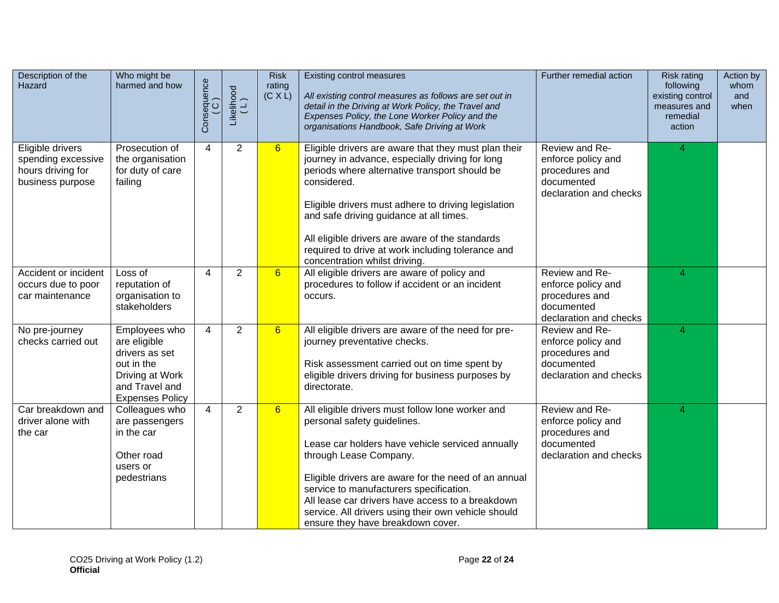| Description of the<br>Hazard                                                    | Who might be<br>harmed and how                                                                                               | Consequence<br>(C) | $\begin{array}{c} \text{Likelihood} \\ (\mathsf{L}) \end{array}$ | <b>Risk</b><br>rating<br>(C X L) | Existing control measures<br>All existing control measures as follows are set out in<br>detail in the Driving at Work Policy, the Travel and<br>Expenses Policy, the Lone Worker Policy and the<br>organisations Handbook, Safe Driving at Work                                                                                                                                                                    | Further remedial action                                                                        | <b>Risk rating</b><br>following<br>existing control<br>measures and<br>remedial<br>action | Action by<br>whom<br>and<br>when |
|---------------------------------------------------------------------------------|------------------------------------------------------------------------------------------------------------------------------|--------------------|------------------------------------------------------------------|----------------------------------|--------------------------------------------------------------------------------------------------------------------------------------------------------------------------------------------------------------------------------------------------------------------------------------------------------------------------------------------------------------------------------------------------------------------|------------------------------------------------------------------------------------------------|-------------------------------------------------------------------------------------------|----------------------------------|
| Eligible drivers<br>spending excessive<br>hours driving for<br>business purpose | Prosecution of<br>the organisation<br>for duty of care<br>failing                                                            | 4                  | $\overline{2}$                                                   | 6                                | Eligible drivers are aware that they must plan their<br>journey in advance, especially driving for long<br>periods where alternative transport should be<br>considered.<br>Eligible drivers must adhere to driving legislation<br>and safe driving guidance at all times.<br>All eligible drivers are aware of the standards<br>required to drive at work including tolerance and<br>concentration whilst driving. | Review and Re-<br>enforce policy and<br>procedures and<br>documented<br>declaration and checks | 4                                                                                         |                                  |
| Accident or incident<br>occurs due to poor<br>car maintenance                   | Loss of<br>reputation of<br>organisation to<br>stakeholders                                                                  | 4                  | $\overline{2}$                                                   | 6                                | All eligible drivers are aware of policy and<br>procedures to follow if accident or an incident<br>occurs.                                                                                                                                                                                                                                                                                                         | Review and Re-<br>enforce policy and<br>procedures and<br>documented<br>declaration and checks | 4                                                                                         |                                  |
| No pre-journey<br>checks carried out                                            | Employees who<br>are eligible<br>drivers as set<br>out in the<br>Driving at Work<br>and Travel and<br><b>Expenses Policy</b> | 4                  | $\overline{2}$                                                   | 6                                | All eligible drivers are aware of the need for pre-<br>journey preventative checks.<br>Risk assessment carried out on time spent by<br>eligible drivers driving for business purposes by<br>directorate.                                                                                                                                                                                                           | Review and Re-<br>enforce policy and<br>procedures and<br>documented<br>declaration and checks | 4                                                                                         |                                  |
| Car breakdown and<br>driver alone with<br>the car                               | Colleagues who<br>are passengers<br>in the car<br>Other road<br>users or<br>pedestrians                                      | 4                  | $\overline{2}$                                                   | $6\overline{6}$                  | All eligible drivers must follow lone worker and<br>personal safety guidelines.<br>Lease car holders have vehicle serviced annually<br>through Lease Company.<br>Eligible drivers are aware for the need of an annual<br>service to manufacturers specification.<br>All lease car drivers have access to a breakdown<br>service. All drivers using their own vehicle should<br>ensure they have breakdown cover.   | Review and Re-<br>enforce policy and<br>procedures and<br>documented<br>declaration and checks | 4                                                                                         |                                  |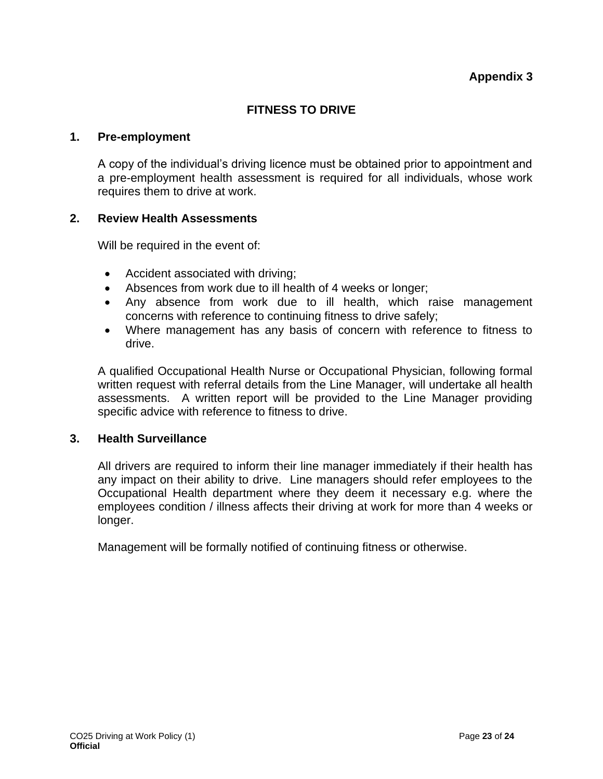#### **FITNESS TO DRIVE**

#### <span id="page-22-1"></span><span id="page-22-0"></span>**1. Pre-employment**

A copy of the individual's driving licence must be obtained prior to appointment and a pre-employment health assessment is required for all individuals, whose work requires them to drive at work.

#### **2. Review Health Assessments**

Will be required in the event of:

- Accident associated with driving;
- Absences from work due to ill health of 4 weeks or longer;
- Any absence from work due to ill health, which raise management concerns with reference to continuing fitness to drive safely;
- Where management has any basis of concern with reference to fitness to drive.

A qualified Occupational Health Nurse or Occupational Physician, following formal written request with referral details from the Line Manager, will undertake all health assessments. A written report will be provided to the Line Manager providing specific advice with reference to fitness to drive.

#### **3. Health Surveillance**

All drivers are required to inform their line manager immediately if their health has any impact on their ability to drive. Line managers should refer employees to the Occupational Health department where they deem it necessary e.g. where the employees condition / illness affects their driving at work for more than 4 weeks or longer.

Management will be formally notified of continuing fitness or otherwise.